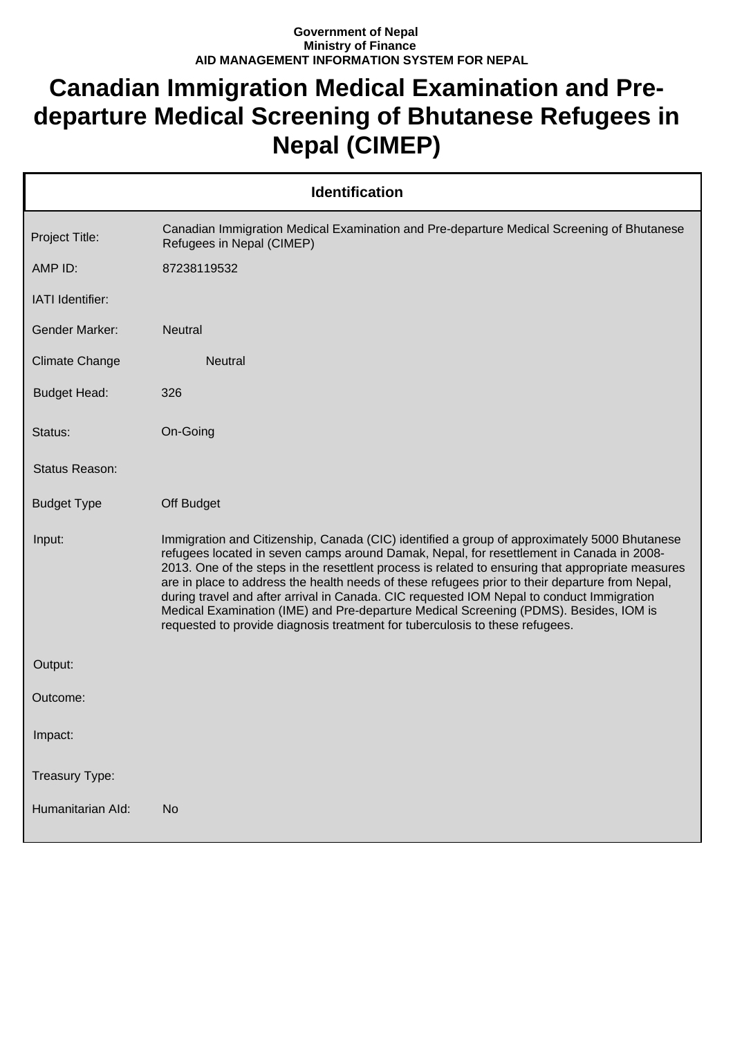## **Government of Nepal Ministry of Finance AID MANAGEMENT INFORMATION SYSTEM FOR NEPAL**

## **Canadian Immigration Medical Examination and Predeparture Medical Screening of Bhutanese Refugees in Nepal (CIMEP)**

| <b>Identification</b> |                                                                                                                                                                                                                                                                                                                                                                                                                                                                                                                                                                                                                                                                        |  |
|-----------------------|------------------------------------------------------------------------------------------------------------------------------------------------------------------------------------------------------------------------------------------------------------------------------------------------------------------------------------------------------------------------------------------------------------------------------------------------------------------------------------------------------------------------------------------------------------------------------------------------------------------------------------------------------------------------|--|
| Project Title:        | Canadian Immigration Medical Examination and Pre-departure Medical Screening of Bhutanese<br>Refugees in Nepal (CIMEP)                                                                                                                                                                                                                                                                                                                                                                                                                                                                                                                                                 |  |
| AMP ID:               | 87238119532                                                                                                                                                                                                                                                                                                                                                                                                                                                                                                                                                                                                                                                            |  |
| IATI Identifier:      |                                                                                                                                                                                                                                                                                                                                                                                                                                                                                                                                                                                                                                                                        |  |
| <b>Gender Marker:</b> | <b>Neutral</b>                                                                                                                                                                                                                                                                                                                                                                                                                                                                                                                                                                                                                                                         |  |
| <b>Climate Change</b> | <b>Neutral</b>                                                                                                                                                                                                                                                                                                                                                                                                                                                                                                                                                                                                                                                         |  |
| <b>Budget Head:</b>   | 326                                                                                                                                                                                                                                                                                                                                                                                                                                                                                                                                                                                                                                                                    |  |
| Status:               | On-Going                                                                                                                                                                                                                                                                                                                                                                                                                                                                                                                                                                                                                                                               |  |
| Status Reason:        |                                                                                                                                                                                                                                                                                                                                                                                                                                                                                                                                                                                                                                                                        |  |
| <b>Budget Type</b>    | Off Budget                                                                                                                                                                                                                                                                                                                                                                                                                                                                                                                                                                                                                                                             |  |
| Input:                | Immigration and Citizenship, Canada (CIC) identified a group of approximately 5000 Bhutanese<br>refugees located in seven camps around Damak, Nepal, for resettlement in Canada in 2008-<br>2013. One of the steps in the resettlent process is related to ensuring that appropriate measures<br>are in place to address the health needs of these refugees prior to their departure from Nepal,<br>during travel and after arrival in Canada. CIC requested IOM Nepal to conduct Immigration<br>Medical Examination (IME) and Pre-departure Medical Screening (PDMS). Besides, IOM is<br>requested to provide diagnosis treatment for tuberculosis to these refugees. |  |
| Output:               |                                                                                                                                                                                                                                                                                                                                                                                                                                                                                                                                                                                                                                                                        |  |
| Outcome:              |                                                                                                                                                                                                                                                                                                                                                                                                                                                                                                                                                                                                                                                                        |  |
| Impact:               |                                                                                                                                                                                                                                                                                                                                                                                                                                                                                                                                                                                                                                                                        |  |
| Treasury Type:        |                                                                                                                                                                                                                                                                                                                                                                                                                                                                                                                                                                                                                                                                        |  |
| Humanitarian Ald:     | <b>No</b>                                                                                                                                                                                                                                                                                                                                                                                                                                                                                                                                                                                                                                                              |  |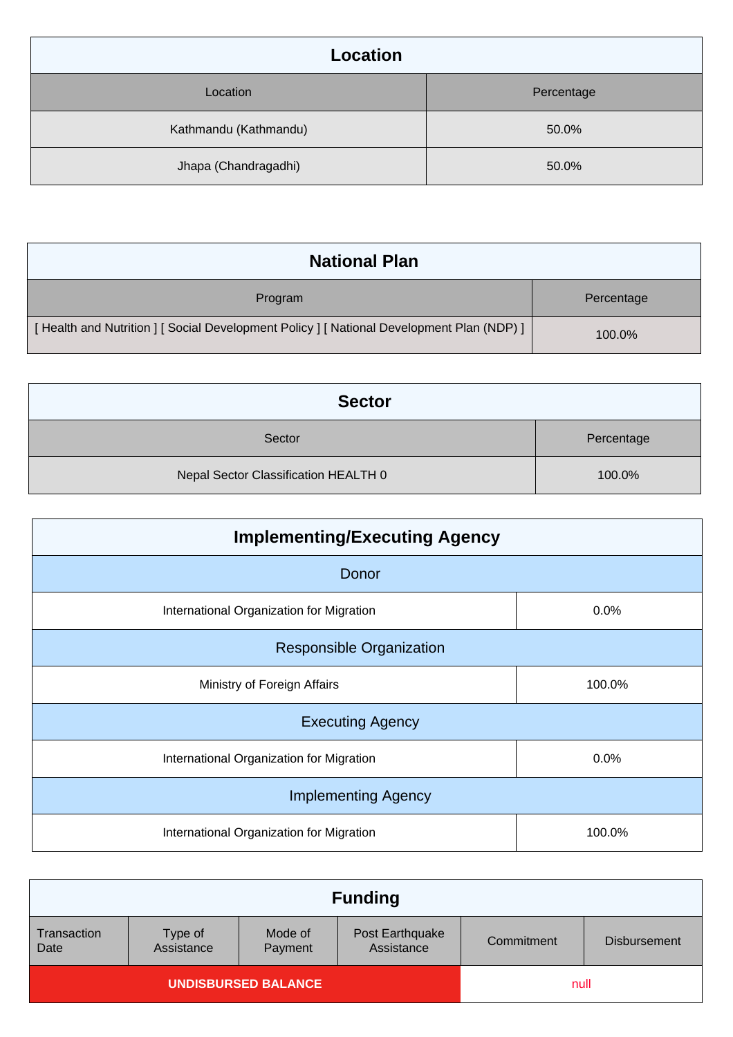| <b>Location</b>       |            |  |
|-----------------------|------------|--|
| Location              | Percentage |  |
| Kathmandu (Kathmandu) | 50.0%      |  |
| Jhapa (Chandragadhi)  | 50.0%      |  |

| <b>National Plan</b>                                                                    |            |  |
|-----------------------------------------------------------------------------------------|------------|--|
| Program                                                                                 | Percentage |  |
| [Health and Nutrition ] [Social Development Policy ] [National Development Plan (NDP) ] | 100.0%     |  |

| <b>Sector</b>                        |            |
|--------------------------------------|------------|
| Sector                               | Percentage |
| Nepal Sector Classification HEALTH 0 | 100.0%     |

| <b>Implementing/Executing Agency</b>     |        |  |
|------------------------------------------|--------|--|
| Donor                                    |        |  |
| International Organization for Migration | 0.0%   |  |
| <b>Responsible Organization</b>          |        |  |
| Ministry of Foreign Affairs              | 100.0% |  |
| <b>Executing Agency</b>                  |        |  |
| International Organization for Migration | 0.0%   |  |
| <b>Implementing Agency</b>               |        |  |
| International Organization for Migration | 100.0% |  |

|                            |                       |                    | <b>Funding</b>                |            |                     |
|----------------------------|-----------------------|--------------------|-------------------------------|------------|---------------------|
| Transaction<br>Date        | Type of<br>Assistance | Mode of<br>Payment | Post Earthquake<br>Assistance | Commitment | <b>Disbursement</b> |
| <b>UNDISBURSED BALANCE</b> |                       |                    | null                          |            |                     |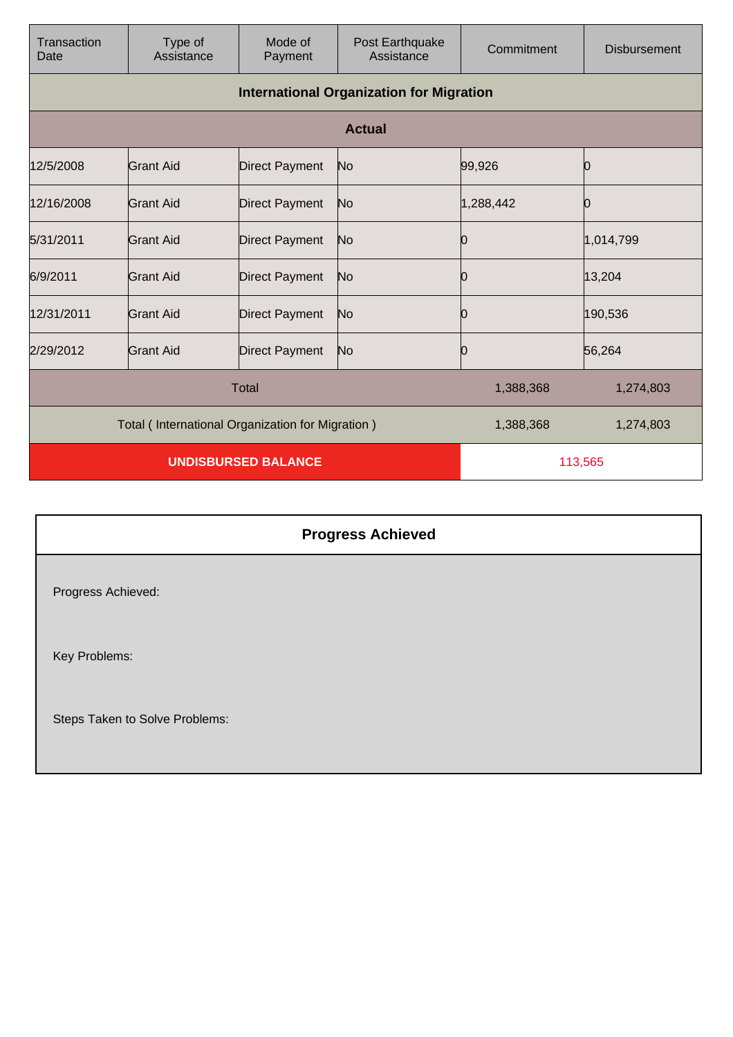| Transaction<br>Date                              | Type of<br>Assistance                           | Mode of<br>Payment    | Post Earthquake<br>Assistance | Commitment | <b>Disbursement</b> |
|--------------------------------------------------|-------------------------------------------------|-----------------------|-------------------------------|------------|---------------------|
|                                                  | <b>International Organization for Migration</b> |                       |                               |            |                     |
|                                                  |                                                 |                       | <b>Actual</b>                 |            |                     |
| 12/5/2008                                        | <b>Grant Aid</b>                                | <b>Direct Payment</b> | No                            | 99,926     |                     |
| 12/16/2008                                       | <b>Grant Aid</b>                                | <b>Direct Payment</b> | No                            | 1,288,442  |                     |
| 5/31/2011                                        | <b>Grant Aid</b>                                | <b>Direct Payment</b> | No                            | O          | 1,014,799           |
| 6/9/2011                                         | <b>Grant Aid</b>                                | <b>Direct Payment</b> | No                            | O          | 13,204              |
| 12/31/2011                                       | Grant Aid                                       | <b>Direct Payment</b> | No                            | Ю          | 190,536             |
| 2/29/2012                                        | <b>Grant Aid</b>                                | <b>Direct Payment</b> | No                            | Ю          | 56,264              |
| Total                                            |                                                 |                       | 1,388,368                     | 1,274,803  |                     |
| Total (International Organization for Migration) |                                                 |                       | 1,388,368                     | 1,274,803  |                     |
| <b>UNDISBURSED BALANCE</b>                       |                                                 |                       | 113,565                       |            |                     |

## **Progress Achieved** Progress Achieved: Key Problems: Steps Taken to Solve Problems: